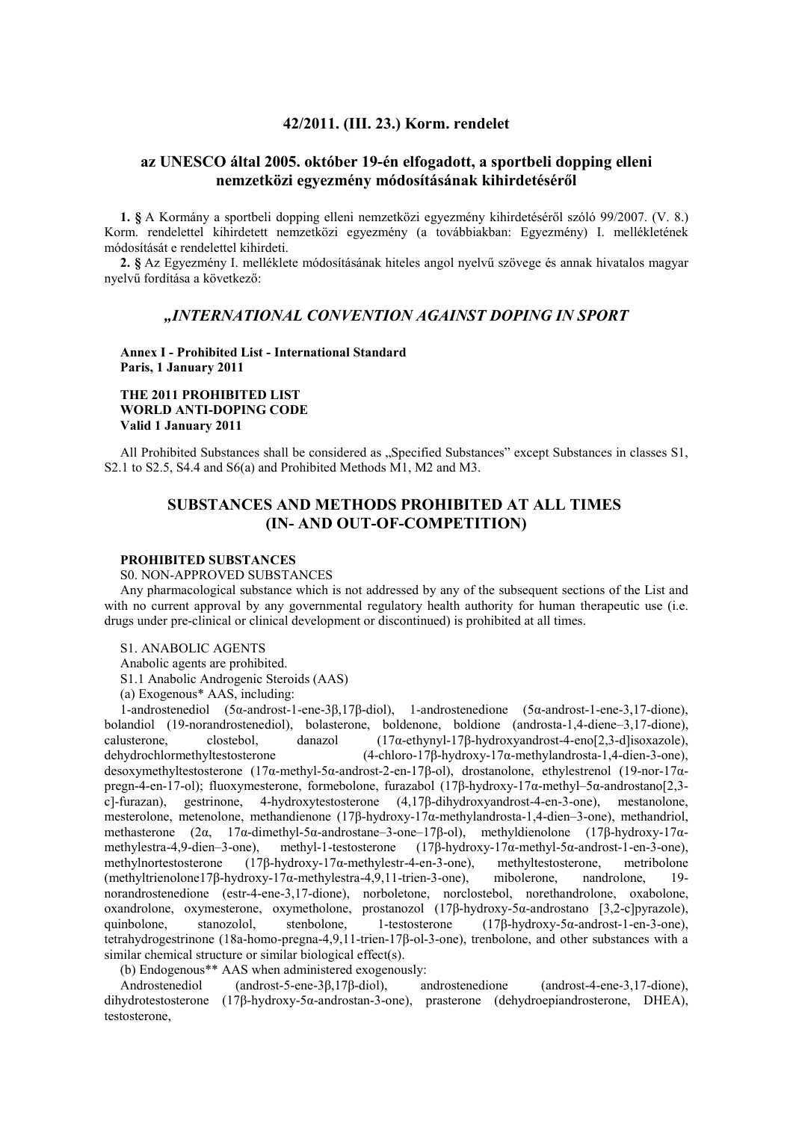# **42/2011. (III. 23.) Korm. rendelet**

# **az UNESCO által 2005. október 19-én elfogadott, a sportbeli dopping elleni nemzetközi egyezmény módosításának kihirdetéséről**

**1. §** A Kormány a sportbeli dopping elleni nemzetközi egyezmény kihirdetéséről szóló 99/2007. (V. 8.) Korm. rendelettel kihirdetett nemzetközi egyezmény (a továbbiakban: Egyezmény) I. mellékletének módosítását e rendelettel kihirdeti.

**2. §** Az Egyezmény I. melléklete módosításának hiteles angol nyelvű szövege és annak hivatalos magyar nyelvű fordítása a következő:

# *"INTERNATIONAL CONVENTION AGAINST DOPING IN SPORT*

**Annex I - Prohibited List - International Standard Paris, 1 January 2011**

# **THE 2011 PROHIBITED LIST WORLD ANTI-DOPING CODE Valid 1 January 2011**

All Prohibited Substances shall be considered as "Specified Substances" except Substances in classes S1, S2.1 to S2.5, S4.4 and S6(a) and Prohibited Methods M1, M2 and M3.

# **SUBSTANCES AND METHODS PROHIBITED AT ALL TIMES (IN- AND OUT-OF-COMPETITION)**

### **PROHIBITED SUBSTANCES**

S0. NON-APPROVED SUBSTANCES

Any pharmacological substance which is not addressed by any of the subsequent sections of the List and with no current approval by any governmental regulatory health authority for human therapeutic use (i.e. drugs under pre-clinical or clinical development or discontinued) is prohibited at all times.

S1. ANABOLIC AGENTS

Anabolic agents are prohibited.

S1.1 Anabolic Androgenic Steroids (AAS)

(a) Exogenous\* AAS, including:

1-androstenediol (5α-androst-1-ene-3β,17β-diol), 1-androstenedione (5α-androst-1-ene-3,17-dione), bolandiol (19-norandrostenediol), bolasterone, boldenone, boldione (androsta-1,4-diene–3,17-dione), calusterone, clostebol, danazol  $(17\alpha$ -ethynyl-17β-hydroxyandrost-4-eno[2,3-d]isoxazole), dehydrochlormethyltestosterone  $(4\text{-chloro-17B-hydroxv-17\alpha-methvlandrosta-1.4-dien-3-one})$  $(4\text{-chloro-17}\beta\text{-hydroxy-17}\alpha\text{-methylandrosta-1}, 4\text{-dien-3-one}),$ desoxymethyltestosterone (17α-methyl-5α-androst-2-en-17β-ol), drostanolone, ethylestrenol (19-nor-17αpregn-4-en-17-ol); fluoxymesterone, formebolone, furazabol (17β-hydroxy-17α-methyl-5α-androstano[2,3-c]-furazan), gestrinone, 4-hydroxytestosterone (4,17β-dihydroxyandrost-4-en-3-one), mestanolone, c]-furazan), gestrinone, 4-hydroxytestosterone (4,17β-dihydroxyandrost-4-en-3-one), mestanolone, mesterolone, metenolone, methandienone (17β-hydroxy-17α-methylandrosta-1,4-dien–3-one), methandriol, methasterone (2α, 17α-dimethyl-5α-androstane–3-one–17β-ol), methyldienolone (17β-hydroxy-17αmethylestra-4,9-dien–3-one), methyl-1-testosterone (17β-hydroxy-17α-methyl-5α-androst-1-en-3-one), methylnortestosterone (17β-hydroxy-17α-methylestr-4-en-3-one), methyltestosterone, metribolone (methyltrienolone17β-hydroxy-17α-methylestra-4,9,11-trien-3-one), mibolerone, nandrolone, 19 norandrostenedione (estr-4-ene-3,17-dione), norboletone, norclostebol, norethandrolone, oxabolone, oxandrolone, oxymesterone, oxymetholone, prostanozol (17β-hydroxy-5α-androstano [3,2-c]pyrazole), quinbolone, stanozolol, stenbolone, 1-testosterone (17β-hydroxy-5α-androst-1-en-3-one), tetrahydrogestrinone (18a-homo-pregna-4,9,11-trien-17β-ol-3-one), trenbolone, and other substances with a similar chemical structure or similar biological effect(s).

(b) Endogenous\*\* AAS when administered exogenously:

Androstenediol (androst-5-ene-3β,17β-diol), androstenedione (androst-4-ene-3,17-dione), dihydrotestosterone (17β-hydroxy-5α-androstan-3-one), prasterone (dehydroepiandrosterone, DHEA), testosterone,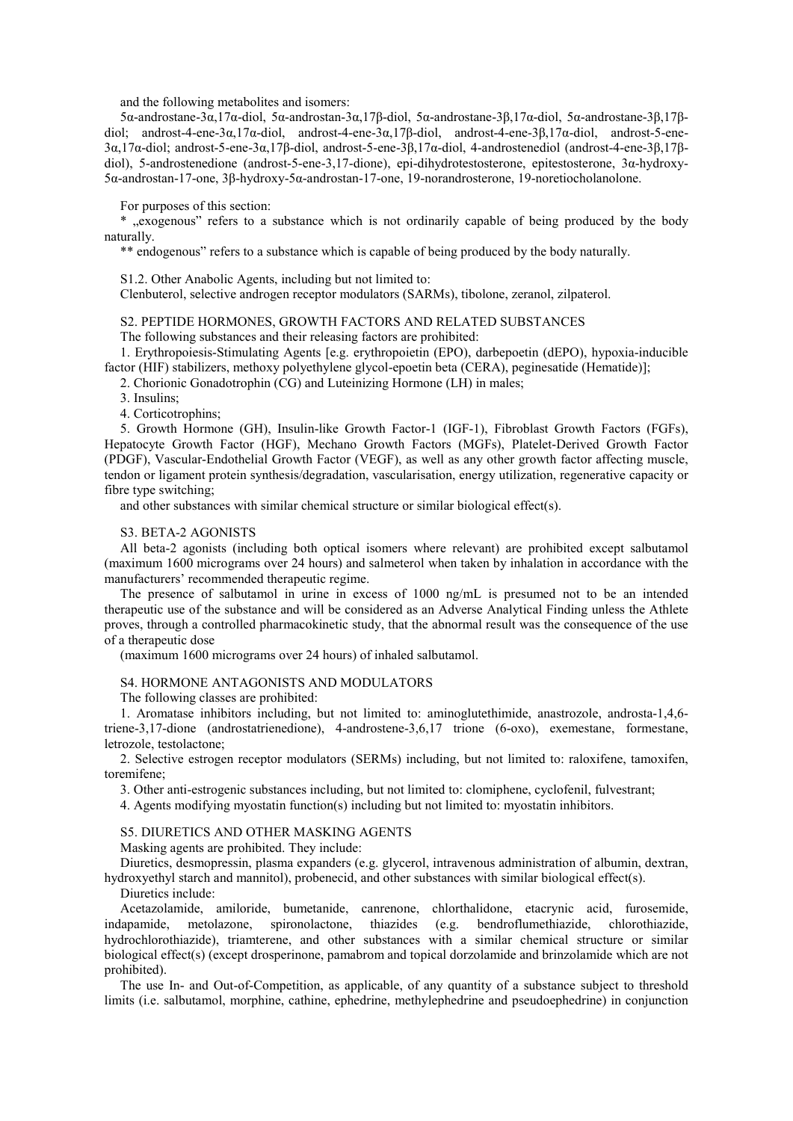and the following metabolites and isomers:

5α-androstane-3α,17α-diol, 5α-androstan-3α,17β-diol, 5α-androstane-3β,17α-diol, 5α-androstane-3β,17βdiol; androst-4-ene-3α,17α-diol, androst-4-ene-3α,17β-diol, androst-4-ene-3β,17α-diol, androst-5-ene-3α,17α-diol; androst-5-ene-3α,17β-diol, androst-5-ene-3β,17α-diol, 4-androstenediol (androst-4-ene-3β,17βdiol), 5-androstenedione (androst-5-ene-3,17-dione), epi-dihydrotestosterone, epitestosterone, 3α-hydroxy-5α-androstan-17-one, 3β-hydroxy-5α-androstan-17-one, 19-norandrosterone, 19-noretiocholanolone.

For purposes of this section:

\* ..exogenous" refers to a substance which is not ordinarily capable of being produced by the body naturally.

\*\* endogenous" refers to a substance which is capable of being produced by the body naturally.

S1.2. Other Anabolic Agents, including but not limited to:

Clenbuterol, selective androgen receptor modulators (SARMs), tibolone, zeranol, zilpaterol.

S2. PEPTIDE HORMONES, GROWTH FACTORS AND RELATED SUBSTANCES

The following substances and their releasing factors are prohibited:

1. Erythropoiesis-Stimulating Agents [e.g. erythropoietin (EPO), darbepoetin (dEPO), hypoxia-inducible factor (HIF) stabilizers, methoxy polyethylene glycol-epoetin beta (CERA), peginesatide (Hematide)];

2. Chorionic Gonadotrophin (CG) and Luteinizing Hormone (LH) in males;

3. Insulins;

4. Corticotrophins;

5. Growth Hormone (GH), Insulin-like Growth Factor-1 (IGF-1), Fibroblast Growth Factors (FGFs), Hepatocyte Growth Factor (HGF), Mechano Growth Factors (MGFs), Platelet-Derived Growth Factor (PDGF), Vascular-Endothelial Growth Factor (VEGF), as well as any other growth factor affecting muscle, tendon or ligament protein synthesis/degradation, vascularisation, energy utilization, regenerative capacity or fibre type switching;

and other substances with similar chemical structure or similar biological effect(s).

### S3. BETA-2 AGONISTS

All beta-2 agonists (including both optical isomers where relevant) are prohibited except salbutamol (maximum 1600 micrograms over 24 hours) and salmeterol when taken by inhalation in accordance with the manufacturers' recommended therapeutic regime.

The presence of salbutamol in urine in excess of 1000 ng/mL is presumed not to be an intended therapeutic use of the substance and will be considered as an Adverse Analytical Finding unless the Athlete proves, through a controlled pharmacokinetic study, that the abnormal result was the consequence of the use of a therapeutic dose

(maximum 1600 micrograms over 24 hours) of inhaled salbutamol.

#### S4. HORMONE ANTAGONISTS AND MODULATORS

The following classes are prohibited:

1. Aromatase inhibitors including, but not limited to: aminoglutethimide, anastrozole, androsta-1,4,6 triene-3,17-dione (androstatrienedione), 4-androstene-3,6,17 trione (6-oxo), exemestane, formestane, letrozole, testolactone;

2. Selective estrogen receptor modulators (SERMs) including, but not limited to: raloxifene, tamoxifen, toremifene;

3. Other anti-estrogenic substances including, but not limited to: clomiphene, cyclofenil, fulvestrant;

4. Agents modifying myostatin function(s) including but not limited to: myostatin inhibitors.

#### S5. DIURETICS AND OTHER MASKING AGENTS

Masking agents are prohibited. They include:

Diuretics, desmopressin, plasma expanders (e.g. glycerol, intravenous administration of albumin, dextran, hydroxyethyl starch and mannitol), probenecid, and other substances with similar biological effect(s).

Diuretics include:

Acetazolamide, amiloride, bumetanide, canrenone, chlorthalidone, etacrynic acid, furosemide, indapamide, metolazone, spironolactone, thiazides (e.g. bendroflumethiazide, chlorothiazide, hydrochlorothiazide), triamterene, and other substances with a similar chemical structure or similar biological effect(s) (except drosperinone, pamabrom and topical dorzolamide and brinzolamide which are not prohibited).

The use In- and Out-of-Competition, as applicable, of any quantity of a substance subject to threshold limits (i.e. salbutamol, morphine, cathine, ephedrine, methylephedrine and pseudoephedrine) in conjunction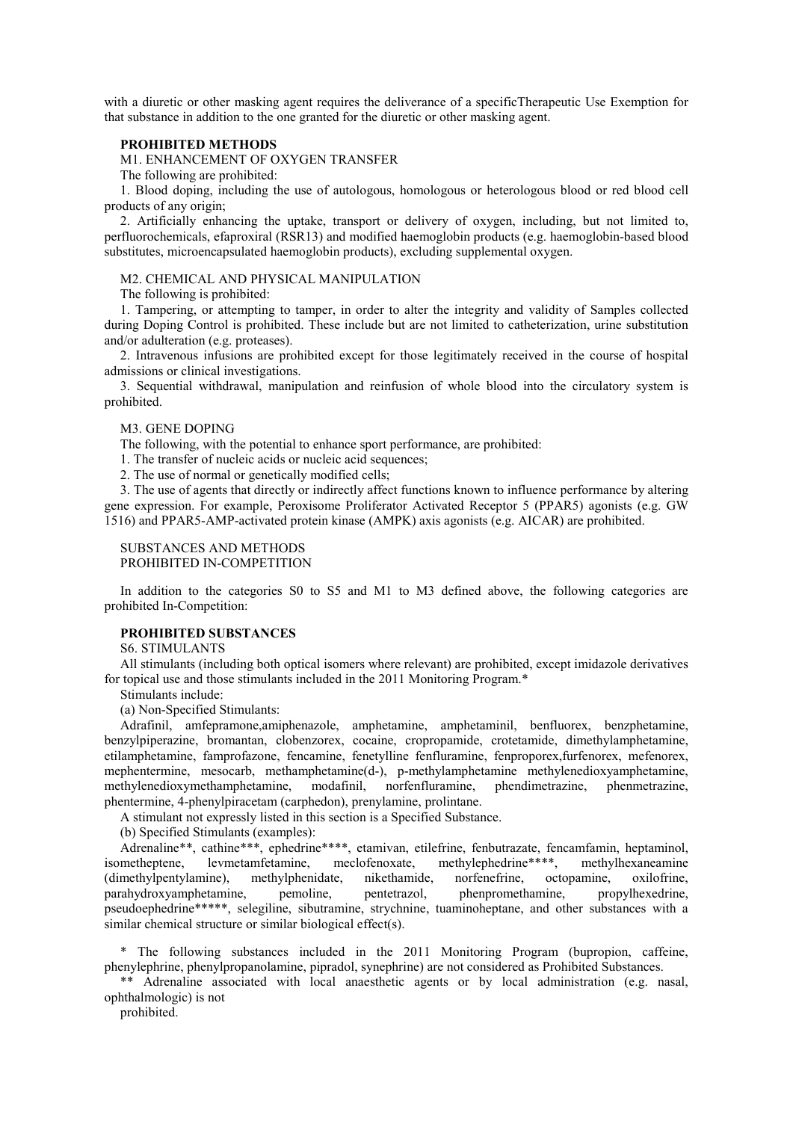with a diuretic or other masking agent requires the deliverance of a specificTherapeutic Use Exemption for that substance in addition to the one granted for the diuretic or other masking agent.

### **PROHIBITED METHODS**

M1. ENHANCEMENT OF OXYGEN TRANSFER

The following are prohibited:

1. Blood doping, including the use of autologous, homologous or heterologous blood or red blood cell products of any origin;

2. Artificially enhancing the uptake, transport or delivery of oxygen, including, but not limited to, perfluorochemicals, efaproxiral (RSR13) and modified haemoglobin products (e.g. haemoglobin-based blood substitutes, microencapsulated haemoglobin products), excluding supplemental oxygen.

#### M2. CHEMICAL AND PHYSICAL MANIPULATION

The following is prohibited:

1. Tampering, or attempting to tamper, in order to alter the integrity and validity of Samples collected during Doping Control is prohibited. These include but are not limited to catheterization, urine substitution and/or adulteration (e.g. proteases).

2. Intravenous infusions are prohibited except for those legitimately received in the course of hospital admissions or clinical investigations.

3. Sequential withdrawal, manipulation and reinfusion of whole blood into the circulatory system is prohibited.

### M3. GENE DOPING

The following, with the potential to enhance sport performance, are prohibited:

1. The transfer of nucleic acids or nucleic acid sequences;

2. The use of normal or genetically modified cells;

3. The use of agents that directly or indirectly affect functions known to influence performance by altering gene expression. For example, Peroxisome Proliferator Activated Receptor 5 (PPAR5) agonists (e.g. GW 1516) and PPAR5-AMP-activated protein kinase (AMPK) axis agonists (e.g. AICAR) are prohibited.

# SUBSTANCES AND METHODS

PROHIBITED IN-COMPETITION

In addition to the categories S0 to S5 and M1 to M3 defined above, the following categories are prohibited In-Competition:

# **PROHIBITED SUBSTANCES**

S6. STIMULANTS

All stimulants (including both optical isomers where relevant) are prohibited, except imidazole derivatives for topical use and those stimulants included in the 2011 Monitoring Program.\*

Stimulants include:

(a) Non-Specified Stimulants:

Adrafinil, amfepramone,amiphenazole, amphetamine, amphetaminil, benfluorex, benzphetamine, benzylpiperazine, bromantan, clobenzorex, cocaine, cropropamide, crotetamide, dimethylamphetamine, etilamphetamine, famprofazone, fencamine, fenetylline fenfluramine, fenproporex,furfenorex, mefenorex, mephentermine, mesocarb, methamphetamine(d-), p-methylamphetamine methylenedioxyamphetamine, methylenedioxymethamphetamine, modafinil, norfenfluramine, phendimetrazine, phenmetrazine, methylenedioxymethamphetamine, modafinil, norfenfluramine, phendimetrazine, phenmetrazine, phentermine, 4-phenylpiracetam (carphedon), prenylamine, prolintane.

A stimulant not expressly listed in this section is a Specified Substance.

(b) Specified Stimulants (examples):

Adrenaline\*\*, cathine\*\*\*, ephedrine\*\*\*\*, etamivan, etilefrine, fenbutrazate, fencamfamin, heptaminol, isometheptene, levmetamfetamine, meclofenoxate, methylephedrine\*\*\*\*, methylhexaneamine (dimethylpentylamine), methylphenidate, nikethamide, norfenefrine, octopamine, oxilofrine, parahydroxyamphetamine, pemoline, pentetrazol, phenpromethamine, propylhexedrine, parahydroxyamphetamine, pemoline, pentetrazol, pseudoephedrine\*\*\*\*\*, selegiline, sibutramine, strychnine, tuaminoheptane, and other substances with a similar chemical structure or similar biological effect(s).

\* The following substances included in the 2011 Monitoring Program (bupropion, caffeine, phenylephrine, phenylpropanolamine, pipradol, synephrine) are not considered as Prohibited Substances.

\*\* Adrenaline associated with local anaesthetic agents or by local administration (e.g. nasal, ophthalmologic) is not

prohibited.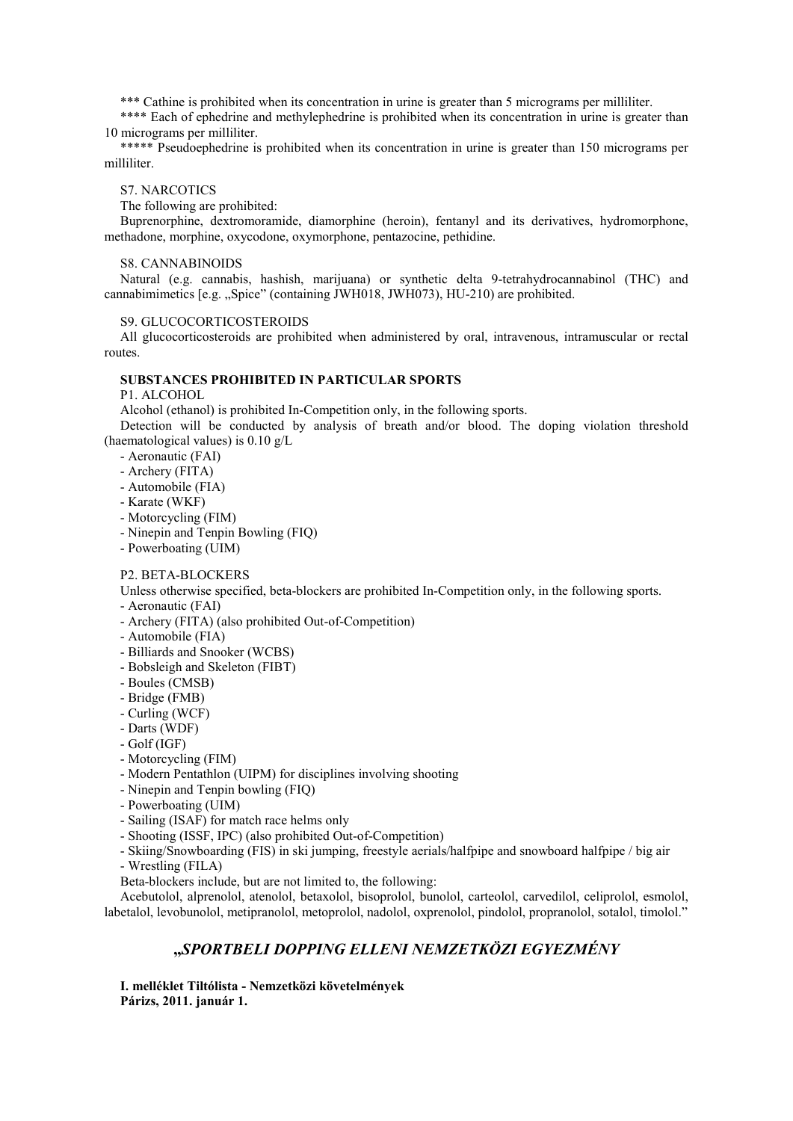\*\*\* Cathine is prohibited when its concentration in urine is greater than 5 micrograms per milliliter.

\*\*\*\* Each of ephedrine and methylephedrine is prohibited when its concentration in urine is greater than 10 micrograms per milliliter.

\*\*\*\*\* Pseudoephedrine is prohibited when its concentration in urine is greater than 150 micrograms per milliliter.

### S7. NARCOTICS

The following are prohibited:

Buprenorphine, dextromoramide, diamorphine (heroin), fentanyl and its derivatives, hydromorphone, methadone, morphine, oxycodone, oxymorphone, pentazocine, pethidine.

### S8. CANNABINOIDS

Natural (e.g. cannabis, hashish, marijuana) or synthetic delta 9-tetrahydrocannabinol (THC) and cannabimimetics [e.g. "Spice" (containing JWH018, JWH073), HU-210) are prohibited.

### S9. GLUCOCORTICOSTEROIDS

All glucocorticosteroids are prohibited when administered by oral, intravenous, intramuscular or rectal routes.

# **SUBSTANCES PROHIBITED IN PARTICULAR SPORTS**

# P1. ALCOHOL

Alcohol (ethanol) is prohibited In-Competition only, in the following sports.

Detection will be conducted by analysis of breath and/or blood. The doping violation threshold (haematological values) is 0.10 g/L

- Aeronautic (FAI)
- Archery (FITA)
- Automobile (FIA)
- Karate (WKF)
- Motorcycling (FIM)
- Ninepin and Tenpin Bowling (FIQ)
- Powerboating (UIM)

# P2. BETA-BLOCKERS

Unless otherwise specified, beta-blockers are prohibited In-Competition only, in the following sports.

- Aeronautic (FAI)
- Archery (FITA) (also prohibited Out-of-Competition)
- Automobile (FIA)
- Billiards and Snooker (WCBS)
- Bobsleigh and Skeleton (FIBT)
- Boules (CMSB)
- Bridge (FMB)
- Curling (WCF)
- Darts (WDF)
- Golf (IGF)
- Motorcycling (FIM)
- Modern Pentathlon (UIPM) for disciplines involving shooting
- Ninepin and Tenpin bowling (FIQ)
- Powerboating (UIM)
- Sailing (ISAF) for match race helms only
- Shooting (ISSF, IPC) (also prohibited Out-of-Competition)
- Skiing/Snowboarding (FIS) in ski jumping, freestyle aerials/halfpipe and snowboard halfpipe / big air
- Wrestling (FILA)
- Beta-blockers include, but are not limited to, the following:

Acebutolol, alprenolol, atenolol, betaxolol, bisoprolol, bunolol, carteolol, carvedilol, celiprolol, esmolol, labetalol, levobunolol, metipranolol, metoprolol, nadolol, oxprenolol, pindolol, propranolol, sotalol, timolol."

# **"***SPORTBELI DOPPING ELLENI NEMZETKÖZI EGYEZMÉNY*

**I. melléklet Tiltólista - Nemzetközi követelmények Párizs, 2011. január 1.**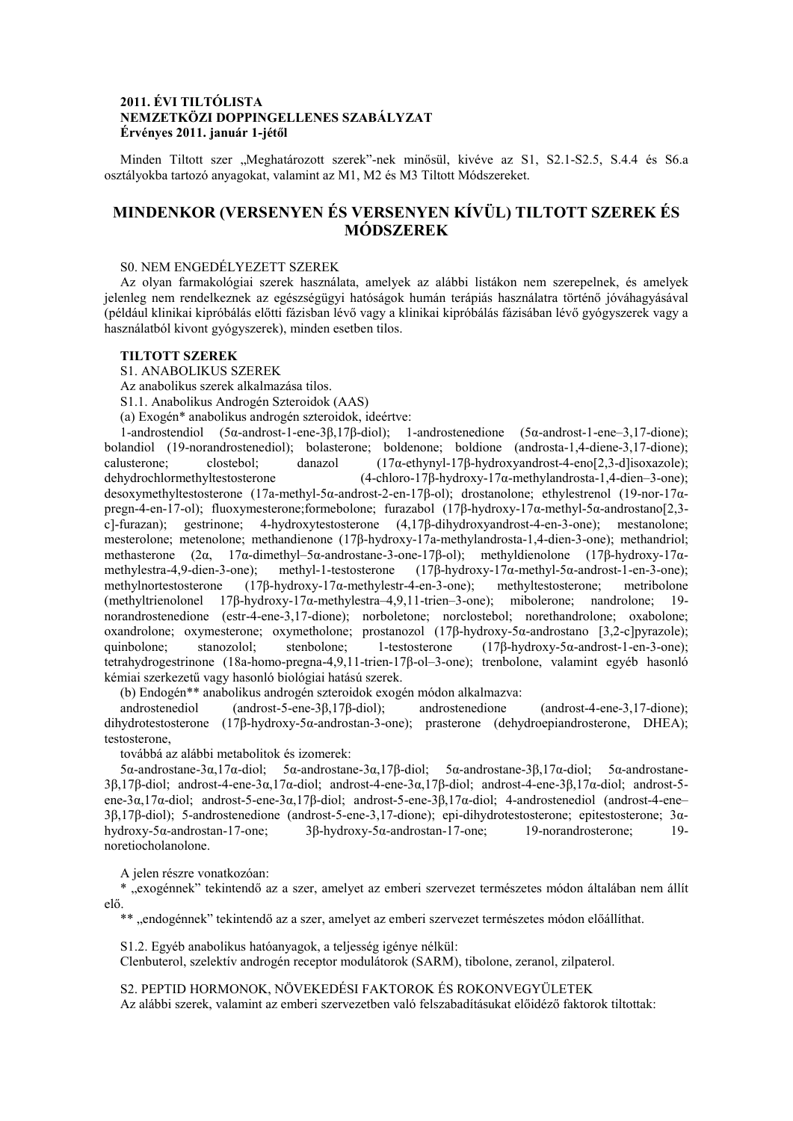# **2011. ÉVI TILTÓLISTA NEMZETKÖZI DOPPINGELLENES SZABÁLYZAT Érvényes 2011. január 1-jétől**

Minden Tiltott szer "Meghatározott szerek"-nek minősül, kivéve az S1, S2.1-S2.5, S.4.4 és S6.a osztályokba tartozó anyagokat, valamint az M1, M2 és M3 Tiltott Módszereket.

# **MINDENKOR (VERSENYEN ÉS VERSENYEN KÍVÜL) TILTOTT SZEREK ÉS MÓDSZEREK**

### S0. NEM ENGEDÉLYEZETT SZEREK

Az olyan farmakológiai szerek használata, amelyek az alábbi listákon nem szerepelnek, és amelyek jelenleg nem rendelkeznek az egészségügyi hatóságok humán terápiás használatra történő jóváhagyásával (például klinikai kipróbálás előtti fázisban lévő vagy a klinikai kipróbálás fázisában lévő gyógyszerek vagy a használatból kivont gyógyszerek), minden esetben tilos.

### **TILTOTT SZEREK**

S1. ANABOLIKUS SZEREK

Az anabolikus szerek alkalmazása tilos.

S1.1. Anabolikus Androgén Szteroidok (AAS)

(a) Exogén\* anabolikus androgén szteroidok, ideértve:

1-androstendiol (5α-androst-1-ene-3β,17β-diol); 1-androstenedione (5α-androst-1-ene–3,17-dione); bolandiol (19-norandrostenediol); bolasterone; boldenone; boldione (androsta-1,4-diene-3,17-dione); calusterone; clostebol; danazol (17α-ethynyl-17β-hydroxyandrost-4-eno[2,3-d]isoxazole); dehydrochlormethyltestosterone (4-chloro-17β-hydroxy-17α-methylandrosta-1,4-dien–3-one); desoxymethyltestosterone (17a-methyl-5α-androst-2-en-17β-ol); drostanolone; ethylestrenol (19-nor-17αpregn-4-en-17-ol); fluoxymesterone;formebolone; furazabol (17β-hydroxy-17α-methyl-5α-androstano[2,3 c]-furazan); gestrinone; 4-hydroxytestosterone (4,17β-dihydroxyandrost-4-en-3-one); mestanolone; mesterolone; metenolone; methandienone (17β-hydroxy-17a-methylandrosta-1,4-dien-3-one); methandriol; methasterone (2α, 17α-dimethyl–5α-androstane-3-one-17β-ol); methyldienolone (17β-hydroxy-17αmethylestra-4,9-dien-3-one); methyl-1-testosterone (17β-hydroxy-17α-methyl-5α-androst-1-en-3-one); methylnortestosterone (17β-hydroxy-17α-methylestr-4-en-3-one); methyltestosterone; metribolone (methyltrienolonel 17β-hydroxy-17α-methylestra–4,9,11-trien–3-one); mibolerone; nandrolone; 19 norandrostenedione (estr-4-ene-3,17-dione); norboletone; norclostebol; norethandrolone; oxabolone; oxandrolone; oxymesterone; oxymetholone; prostanozol (17β-hydroxy-5α-androstano [3,2-c]pyrazole); quinbolone; stanozolol; stenbolone; 1-testosterone (17β-hydroxy-5α-androst-1-en-3-one); tetrahydrogestrinone (18a-homo-pregna-4,9,11-trien-17β-ol–3-one); trenbolone, valamint egyéb hasonló kémiai szerkezetű vagy hasonló biológiai hatású szerek.

(b) Endogén\*\* anabolikus androgén szteroidok exogén módon alkalmazva:

androstenediol (androst-5-ene-3β,17β-diol); androstenedione (androst-4-ene-3,17-dione); dihydrotestosterone (17β-hydroxy-5α-androstan-3-one); prasterone (dehydroepiandrosterone, DHEA); testosterone,

továbbá az alábbi metabolitok és izomerek:

5α-androstane-3α,17α-diol; 5α-androstane-3α,17β-diol; 5α-androstane-3β,17α-diol; 5α-androstane-3β,17β-diol; androst-4-ene-3α,17α-diol; androst-4-ene-3α,17β-diol; androst-4-ene-3β,17α-diol; androst-5 ene-3α,17α-diol; androst-5-ene-3α,17β-diol; androst-5-ene-3β,17α-diol; 4-androstenediol (androst-4-ene– 3β,17β-diol); 5-androstenedione (androst-5-ene-3,17-dione); epi-dihydrotestosterone; epitestosterone; 3α-hydroxy-5α-androstan-17-one: 19-norandrosterone; 19hydroxy-5α-androstan-17-one; 3β-hydroxy-5α-androstan-17-one; 19-norandrosterone; 19 noretiocholanolone.

A jelen részre vonatkozóan:

\* "exogénnek" tekintendő az a szer, amelyet az emberi szervezet természetes módon általában nem állít elő.

\*\* "endogénnek" tekintendő az a szer, amelyet az emberi szervezet természetes módon előállíthat.

S1.2. Egyéb anabolikus hatóanyagok, a teljesség igénye nélkül:

Clenbuterol, szelektív androgén receptor modulátorok (SARM), tibolone, zeranol, zilpaterol.

S2. PEPTID HORMONOK, NÖVEKEDÉSI FAKTOROK ÉS ROKONVEGYÜLETEK Az alábbi szerek, valamint az emberi szervezetben való felszabadításukat előidéző faktorok tiltottak: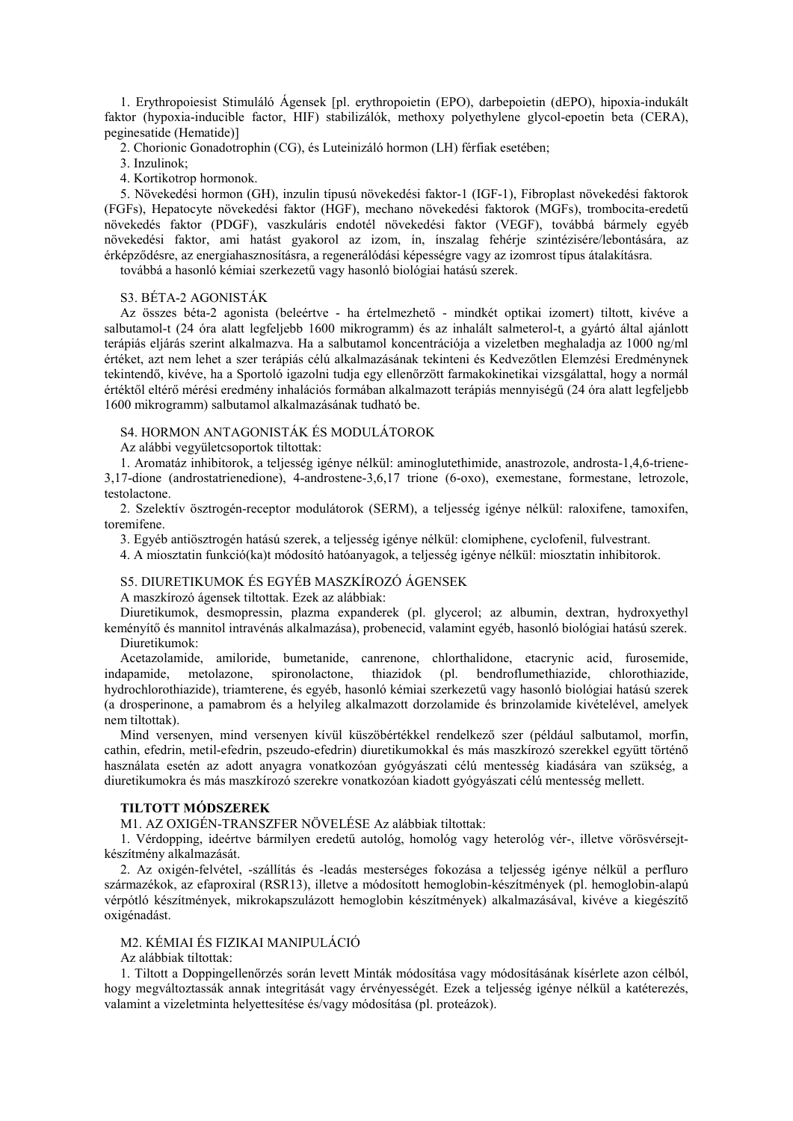1. Erythropoiesist Stimuláló Ágensek [pl. erythropoietin (EPO), darbepoietin (dEPO), hipoxia-indukált faktor (hypoxia-inducible factor, HIF) stabilizálók, methoxy polyethylene glycol-epoetin beta (CERA), peginesatide (Hematide)]

2. Chorionic Gonadotrophin (CG), és Luteinizáló hormon (LH) férfiak esetében;

- 3. Inzulinok;
- 4. Kortikotrop hormonok.

5. Növekedési hormon (GH), inzulin típusú növekedési faktor-1 (IGF-1), Fibroplast növekedési faktorok (FGFs), Hepatocyte növekedési faktor (HGF), mechano növekedési faktorok (MGFs), trombocita-eredetű növekedés faktor (PDGF), vaszkuláris endotél növekedési faktor (VEGF), továbbá bármely egyéb növekedési faktor, ami hatást gyakorol az izom, ín, ínszalag fehérje szintézisére/lebontására, az érképződésre, az energiahasznosításra, a regenerálódási képességre vagy az izomrost típus átalakításra.

továbbá a hasonló kémiai szerkezetű vagy hasonló biológiai hatású szerek.

# S3. BÉTA-2 AGONISTÁK

Az összes béta-2 agonista (beleértve - ha értelmezhető - mindkét optikai izomert) tiltott, kivéve a salbutamol-t (24 óra alatt legfeljebb 1600 mikrogramm) és az inhalált salmeterol-t, a gyártó által ajánlott terápiás eljárás szerint alkalmazva. Ha a salbutamol koncentrációja a vizeletben meghaladja az 1000 ng/ml értéket, azt nem lehet a szer terápiás célú alkalmazásának tekinteni és Kedvezőtlen Elemzési Eredménynek tekintendő, kivéve, ha a Sportoló igazolni tudja egy ellenőrzött farmakokinetikai vizsgálattal, hogy a normál értéktől eltérő mérési eredmény inhalációs formában alkalmazott terápiás mennyiségű (24 óra alatt legfeljebb 1600 mikrogramm) salbutamol alkalmazásának tudható be.

# S4. HORMON ANTAGONISTÁK ÉS MODULÁTOROK

Az alábbi vegyületcsoportok tiltottak:

1. Aromatáz inhibitorok, a teljesség igénye nélkül: aminoglutethimide, anastrozole, androsta-1,4,6-triene-3,17-dione (androstatrienedione), 4-androstene-3,6,17 trione (6-oxo), exemestane, formestane, letrozole, testolactone.

2. Szelektív ösztrogén-receptor modulátorok (SERM), a teljesség igénye nélkül: raloxifene, tamoxifen, toremifene.

3. Egyéb antiösztrogén hatású szerek, a teljesség igénye nélkül: clomiphene, cyclofenil, fulvestrant.

4. A miosztatin funkció(ka)t módosító hatóanyagok, a teljesség igénye nélkül: miosztatin inhibitorok.

### S5. DIURETIKUMOK ÉS EGYÉB MASZKÍROZÓ ÁGENSEK

A maszkírozó ágensek tiltottak. Ezek az alábbiak:

Diuretikumok, desmopressin, plazma expanderek (pl. glycerol; az albumin, dextran, hydroxyethyl keményítő és mannitol intravénás alkalmazása), probenecid, valamint egyéb, hasonló biológiai hatású szerek. Diuretikumok:

Acetazolamide, amiloride, bumetanide, canrenone, chlorthalidone, etacrynic acid, furosemide, indapamide, metolazone, spironolactone, thiazidok (pl. bendroflumethiazide, chlorothiazide, hydrochlorothiazide), triamterene, és egyéb, hasonló kémiai szerkezetű vagy hasonló biológiai hatású szerek (a drosperinone, a pamabrom és a helyileg alkalmazott dorzolamide és brinzolamide kivételével, amelyek nem tiltottak).

Mind versenyen, mind versenyen kívül küszöbértékkel rendelkező szer (például salbutamol, morfin, cathin, efedrin, metil-efedrin, pszeudo-efedrin) diuretikumokkal és más maszkírozó szerekkel együtt történő használata esetén az adott anyagra vonatkozóan gyógyászati célú mentesség kiadására van szükség, a diuretikumokra és más maszkírozó szerekre vonatkozóan kiadott gyógyászati célú mentesség mellett.

### **TILTOTT MÓDSZEREK**

M1. AZ OXIGÉN-TRANSZFER NÖVELÉSE Az alábbiak tiltottak:

1. Vérdopping, ideértve bármilyen eredetű autológ, homológ vagy heterológ vér-, illetve vörösvérsejtkészítmény alkalmazását.

2. Az oxigén-felvétel, -szállítás és -leadás mesterséges fokozása a teljesség igénye nélkül a perfluro származékok, az efaproxiral (RSR13), illetve a módosított hemoglobin-készítmények (pl. hemoglobin-alapú vérpótló készítmények, mikrokapszulázott hemoglobin készítmények) alkalmazásával, kivéve a kiegészítő oxigénadást.

# M2. KÉMIAI ÉS FIZIKAI MANIPULÁCIÓ

Az alábbiak tiltottak:

1. Tiltott a Doppingellenőrzés során levett Minták módosítása vagy módosításának kísérlete azon célból, hogy megváltoztassák annak integritását vagy érvényességét. Ezek a teljesség igénye nélkül a katéterezés, valamint a vizeletminta helyettesítése és/vagy módosítása (pl. proteázok).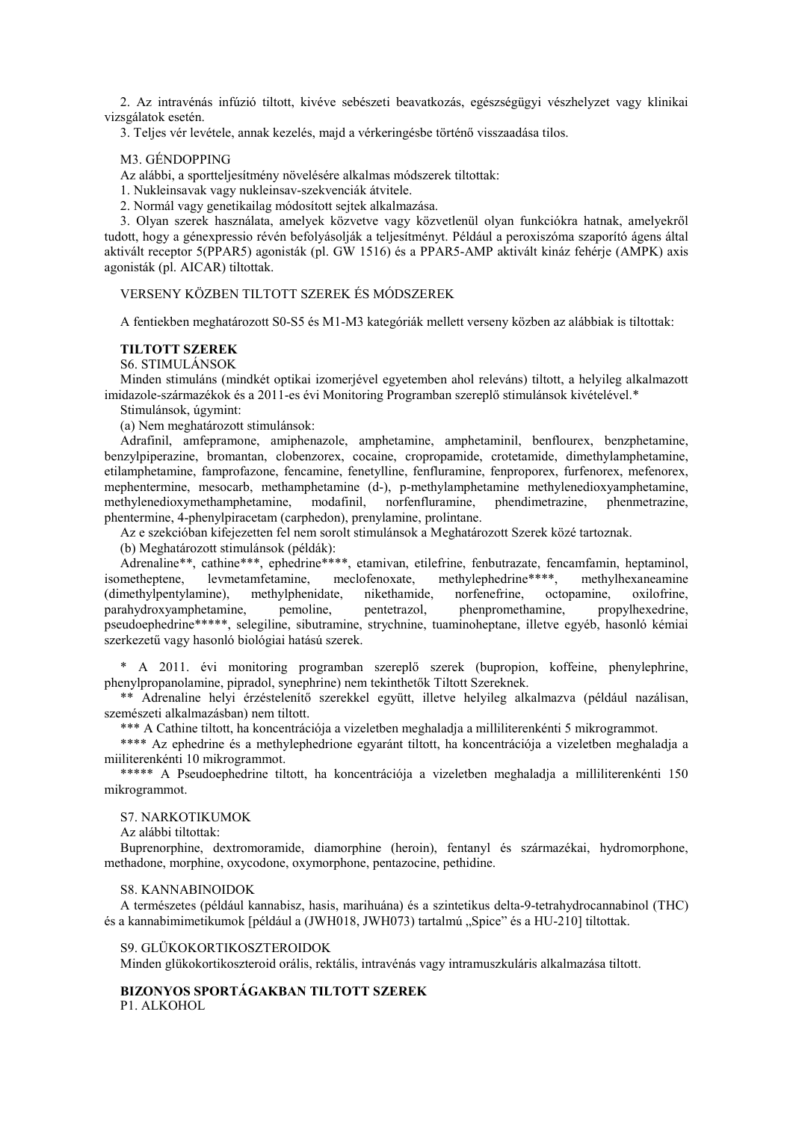2. Az intravénás infúzió tiltott, kivéve sebészeti beavatkozás, egészségügyi vészhelyzet vagy klinikai vizsgálatok esetén.

3. Teljes vér levétele, annak kezelés, majd a vérkeringésbe történő visszaadása tilos.

# M3. GÉNDOPPING

Az alábbi, a sportteljesítmény növelésére alkalmas módszerek tiltottak:

1. Nukleinsavak vagy nukleinsav-szekvenciák átvitele.

2. Normál vagy genetikailag módosított sejtek alkalmazása.

3. Olyan szerek használata, amelyek közvetve vagy közvetlenül olyan funkciókra hatnak, amelyekről tudott, hogy a génexpressio révén befolyásolják a teljesítményt. Például a peroxiszóma szaporító ágens által aktivált receptor 5(PPAR5) agonisták (pl. GW 1516) és a PPAR5-AMP aktivált kináz fehérje (AMPK) axis agonisták (pl. AICAR) tiltottak.

# VERSENY KÖZBEN TILTOTT SZEREK ÉS MÓDSZEREK

A fentiekben meghatározott S0-S5 és M1-M3 kategóriák mellett verseny közben az alábbiak is tiltottak:

# **TILTOTT SZEREK**

S6. STIMULÁNSOK

Minden stimuláns (mindkét optikai izomerjével egyetemben ahol releváns) tiltott, a helyileg alkalmazott imidazole-származékok és a 2011-es évi Monitoring Programban szereplő stimulánsok kivételével.\*

Stimulánsok, úgymint:

(a) Nem meghatározott stimulánsok:

Adrafinil, amfepramone, amiphenazole, amphetamine, amphetaminil, benflourex, benzphetamine, benzylpiperazine, bromantan, clobenzorex, cocaine, cropropamide, crotetamide, dimethylamphetamine, etilamphetamine, famprofazone, fencamine, fenetylline, fenfluramine, fenproporex, furfenorex, mefenorex, mephentermine, mesocarb, methamphetamine (d-), p-methylamphetamine methylenedioxyamphetamine, methylenedioxymethamphetamine, modafinil, norfenfluramine, phendimetrazine, phenmetrazine, methylenedioxymethamphetamine, modafinil, norfenfluramine, phendimetrazine, phenmetrazine, phentermine, 4-phenylpiracetam (carphedon), prenylamine, prolintane.

Az e szekcióban kifejezetten fel nem sorolt stimulánsok a Meghatározott Szerek közé tartoznak.

(b) Meghatározott stimulánsok (példák):

Adrenaline\*\*, cathine\*\*\*, ephedrine\*\*\*\*, etamivan, etilefrine, fenbutrazate, fencamfamin, heptaminol, isometheptene, levmetamfetamine, meclofenoxate, methylephedrine\*\*\*\*, methylhexaneamine meclofenoxate, methylephedrine\*\*\*\*, methylhexaneamine (dimethylpentylamine), methylphenidate, nikethamide, norfenefrine, octopamine, oxilofrine, parahydroxyamphetamine, pemoline, pentetrazol, phenpromethamine, propylhexedrine, pseudoephedrine\*\*\*\*\*, selegiline, sibutramine, strychnine, tuaminoheptane, illetve egyéb, hasonló kémiai szerkezetű vagy hasonló biológiai hatású szerek.

\* A 2011. évi monitoring programban szereplő szerek (bupropion, koffeine, phenylephrine, phenylpropanolamine, pipradol, synephrine) nem tekinthetők Tiltott Szereknek.

\*\* Adrenaline helyi érzéstelenítő szerekkel együtt, illetve helyileg alkalmazva (például nazálisan, szemészeti alkalmazásban) nem tiltott.

\*\*\* A Cathine tiltott, ha koncentrációja a vizeletben meghaladja a milliliterenkénti 5 mikrogrammot.

\*\*\*\* Az ephedrine és a methylephedrione egyaránt tiltott, ha koncentrációja a vizeletben meghaladja a miiliterenkénti 10 mikrogrammot.

\*\*\*\*\* A Pseudoephedrine tiltott, ha koncentrációja a vizeletben meghaladja a milliliterenkénti 150 mikrogrammot.

# S7. NARKOTIKUMOK

Az alábbi tiltottak:

Buprenorphine, dextromoramide, diamorphine (heroin), fentanyl és származékai, hydromorphone, methadone, morphine, oxycodone, oxymorphone, pentazocine, pethidine.

### S8. KANNABINOIDOK

A természetes (például kannabisz, hasis, marihuána) és a szintetikus delta-9-tetrahydrocannabinol (THC) és a kannabimimetikumok [például a (JWH018, JWH073) tartalmú "Spice" és a HU-210] tiltottak.

### S9. GLÜKOKORTIKOSZTEROIDOK

Minden glükokortikoszteroid orális, rektális, intravénás vagy intramuszkuláris alkalmazása tiltott.

# **BIZONYOS SPORTÁGAKBAN TILTOTT SZEREK**

P1. ALKOHOL